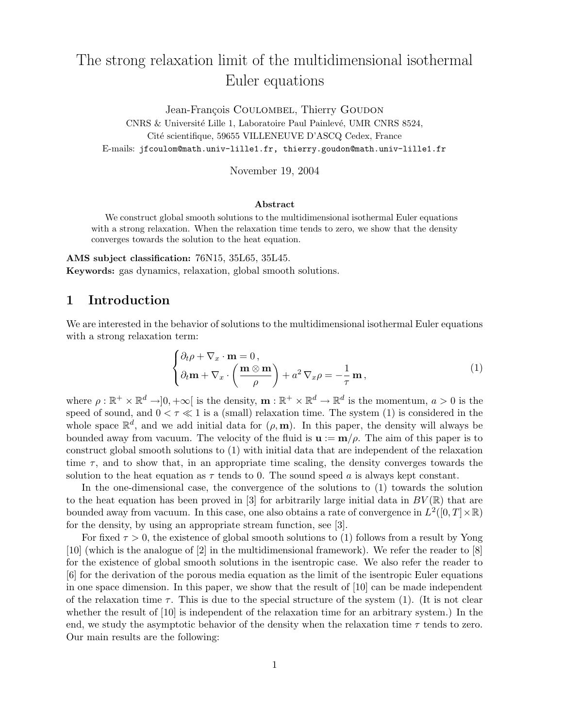# The strong relaxation limit of the multidimensional isothermal Euler equations

Jean-François COULOMBEL, Thierry GOUDON CNRS & Université Lille 1, Laboratoire Paul Painlevé, UMR CNRS 8524, Cité scientifique, 59655 VILLENEUVE D'ASCQ Cedex, France E-mails: jfcoulom@math.univ-lille1.fr, thierry.goudon@math.univ-lille1.fr

November 19, 2004

#### Abstract

We construct global smooth solutions to the multidimensional isothermal Euler equations with a strong relaxation. When the relaxation time tends to zero, we show that the density converges towards the solution to the heat equation.

AMS subject classification: 76N15, 35L65, 35L45. Keywords: gas dynamics, relaxation, global smooth solutions.

## 1 Introduction

We are interested in the behavior of solutions to the multidimensional isothermal Euler equations with a strong relaxation term:

$$
\begin{cases} \partial_t \rho + \nabla_x \cdot \mathbf{m} = 0, \\ \partial_t \mathbf{m} + \nabla_x \cdot \left( \frac{\mathbf{m} \otimes \mathbf{m}}{\rho} \right) + a^2 \nabla_x \rho = -\frac{1}{\tau} \mathbf{m}, \end{cases}
$$
 (1)

where  $\rho : \mathbb{R}^+ \times \mathbb{R}^d \to ]0, +\infty[$  is the density,  $\mathbf{m} : \mathbb{R}^+ \times \mathbb{R}^d \to \mathbb{R}^d$  is the momentum,  $a > 0$  is the speed of sound, and  $0 < \tau \ll 1$  is a (small) relaxation time. The system (1) is considered in the whole space  $\mathbb{R}^d$ , and we add initial data for  $(\rho, \mathbf{m})$ . In this paper, the density will always be bounded away from vacuum. The velocity of the fluid is  $\mathbf{u} := \mathbf{m}/\rho$ . The aim of this paper is to construct global smooth solutions to (1) with initial data that are independent of the relaxation time  $\tau$ , and to show that, in an appropriate time scaling, the density converges towards the solution to the heat equation as  $\tau$  tends to 0. The sound speed a is always kept constant.

In the one-dimensional case, the convergence of the solutions to (1) towards the solution to the heat equation has been proved in [3] for arbitrarily large initial data in  $BV(\mathbb{R})$  that are bounded away from vacuum. In this case, one also obtains a rate of convergence in  $L^2([0,T] \times \mathbb{R})$ for the density, by using an appropriate stream function, see [3].

For fixed  $\tau > 0$ , the existence of global smooth solutions to (1) follows from a result by Yong [10] (which is the analogue of [2] in the multidimensional framework). We refer the reader to [8] for the existence of global smooth solutions in the isentropic case. We also refer the reader to [6] for the derivation of the porous media equation as the limit of the isentropic Euler equations in one space dimension. In this paper, we show that the result of [10] can be made independent of the relaxation time  $\tau$ . This is due to the special structure of the system (1). (It is not clear whether the result of [10] is independent of the relaxation time for an arbitrary system.) In the end, we study the asymptotic behavior of the density when the relaxation time  $\tau$  tends to zero. Our main results are the following: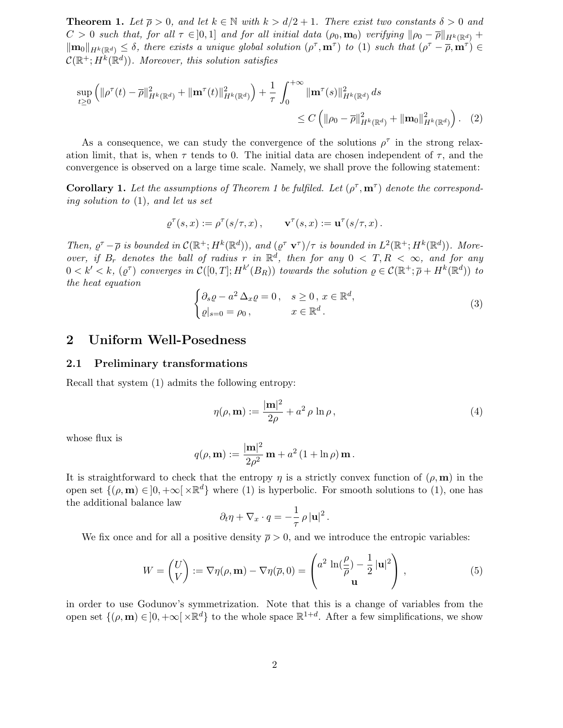**Theorem 1.** Let  $\overline{\rho} > 0$ , and let  $k \in \mathbb{N}$  with  $k > d/2 + 1$ . There exist two constants  $\delta > 0$  and  $C > 0$  such that, for all  $\tau \in ]0,1]$  and for all initial data  $(\rho_0, \mathbf{m}_0)$  verifying  $\|\rho_0 - \overline{\rho}\|_{H^k(\mathbb{R}^d)}$  +  $\|\mathbf{m}_0\|_{H^k(\mathbb{R}^d)} \leq \delta$ , there exists a unique global solution  $(\rho^\tau, \mathbf{m}^\tau)$  to (1) such that  $(\rho^\tau - \overline{\rho}, \mathbf{m}^\tau) \in$  $\mathcal{C}(\mathbb{R}^+; H^k(\mathbb{R}^d))$ . Moreover, this solution satisfies

$$
\sup_{t\geq 0} \left( \|\rho^{\tau}(t) - \overline{\rho}\|_{H^k(\mathbb{R}^d)}^2 + \|\mathbf{m}^{\tau}(t)\|_{H^k(\mathbb{R}^d)}^2 \right) + \frac{1}{\tau} \int_0^{+\infty} \|\mathbf{m}^{\tau}(s)\|_{H^k(\mathbb{R}^d)}^2 ds
$$
  
\$\leq C \left( \|\rho\_0 - \overline{\rho}\|\_{H^k(\mathbb{R}^d)}^2 + \|\mathbf{m}\_0\|\_{H^k(\mathbb{R}^d)}^2 \right). (2)

As a consequence, we can study the convergence of the solutions  $\rho^{\tau}$  in the strong relaxation limit, that is, when  $\tau$  tends to 0. The initial data are chosen independent of  $\tau$ , and the convergence is observed on a large time scale. Namely, we shall prove the following statement:

**Corollary 1.** Let the assumptions of Theorem 1 be fulfiled. Let  $(\rho^{\tau}, m^{\tau})$  denote the corresponding solution to (1), and let us set

$$
\varrho^\tau(s,x):=\rho^\tau(s/\tau,x)\,,\qquad \mathbf{v}^\tau(s,x):=\mathbf{u}^\tau(s/\tau,x)\,.
$$

Then,  $\varrho^{\tau} - \overline{\rho}$  is bounded in  $\mathcal{C}(\mathbb{R}^+; H^k(\mathbb{R}^d))$ , and  $(\varrho^{\tau} \mathbf{v}^{\tau})/\tau$  is bounded in  $L^2(\mathbb{R}^+; H^k(\mathbb{R}^d))$ . Moreover, if  $B_r$  denotes the ball of radius r in  $\mathbb{R}^d$ , then for any  $0 < T, R < \infty$ , and for any  $0 < k' < k$ ,  $(\varrho^{\tau})$  converges in  $\mathcal{C}([0,T];H^{k'}(B_R))$  towards the solution  $\varrho \in \mathcal{C}(\mathbb{R}^+;\overline{\rho}+H^k(\mathbb{R}^d))$  to the heat equation

$$
\begin{cases} \partial_s \varrho - a^2 \Delta_x \varrho = 0, & s \ge 0, x \in \mathbb{R}^d, \\ \varrho|_{s=0} = \rho_0, & x \in \mathbb{R}^d. \end{cases}
$$
 (3)

## 2 Uniform Well-Posedness

#### 2.1 Preliminary transformations

Recall that system (1) admits the following entropy:

$$
\eta(\rho, \mathbf{m}) := \frac{|\mathbf{m}|^2}{2\rho} + a^2 \rho \ln \rho, \qquad (4)
$$

whose flux is

$$
q(\rho, \mathbf{m}) := \frac{|\mathbf{m}|^2}{2\rho^2} \mathbf{m} + a^2 (1 + \ln \rho) \mathbf{m}.
$$

It is straightforward to check that the entropy  $\eta$  is a strictly convex function of  $(\rho, \mathbf{m})$  in the open set  $\{(\rho, \mathbf{m}) \in ]0, +\infty[\times \mathbb{R}^d\}$  where (1) is hyperbolic. For smooth solutions to (1), one has the additional balance law

$$
\partial_t \eta + \nabla_x \cdot q = -\frac{1}{\tau} \rho |\mathbf{u}|^2.
$$

We fix once and for all a positive density  $\bar{\rho} > 0$ , and we introduce the entropic variables:

$$
W = \begin{pmatrix} U \\ V \end{pmatrix} := \nabla \eta(\rho, \mathbf{m}) - \nabla \eta(\overline{\rho}, 0) = \begin{pmatrix} a^2 \ln(\frac{\rho}{\overline{\rho}}) - \frac{1}{2} |\mathbf{u}|^2 \\ \mathbf{u} \end{pmatrix},
$$
(5)

in order to use Godunov's symmetrization. Note that this is a change of variables from the open set  $\{(\rho, \mathbf{m}) \in ]0, +\infty[\times \mathbb{R}^d\}$  to the whole space  $\mathbb{R}^{1+d}$ . After a few simplifications, we show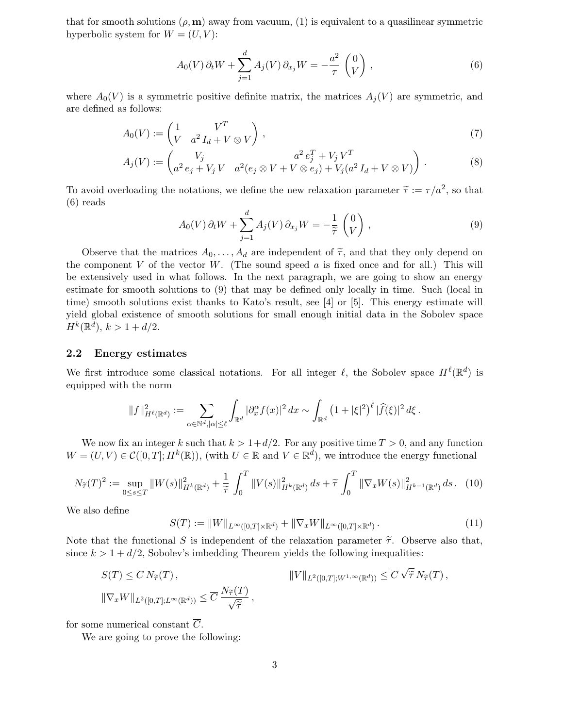that for smooth solutions  $(\rho, \mathbf{m})$  away from vacuum, (1) is equivalent to a quasilinear symmetric hyperbolic system for  $W = (U, V)$ :

$$
A_0(V)\,\partial_t W + \sum_{j=1}^d A_j(V)\,\partial_{x_j} W = -\frac{a^2}{\tau} \begin{pmatrix} 0\\V \end{pmatrix} ,\tag{6}
$$

where  $A_0(V)$  is a symmetric positive definite matrix, the matrices  $A_i(V)$  are symmetric, and are defined as follows:

$$
A_0(V) := \begin{pmatrix} 1 & V^T \\ V & a^2 I_d + V \otimes V \end{pmatrix},\tag{7}
$$

$$
A_j(V) := \begin{pmatrix} V_j & a^2 e_j^T + V_j V^T \\ a^2 e_j + V_j V & a^2 (e_j \otimes V + V \otimes e_j) + V_j (a^2 I_d + V \otimes V) \end{pmatrix} .
$$
 (8)

To avoid overloading the notations, we define the new relaxation parameter  $\tilde{\tau} := \tau/a^2$ , so that (6) reads

$$
A_0(V)\,\partial_t W + \sum_{j=1}^d A_j(V)\,\partial_{x_j} W = -\frac{1}{\tilde{\tau}}\begin{pmatrix}0\\V\end{pmatrix},\tag{9}
$$

Observe that the matrices  $A_0, \ldots, A_d$  are independent of  $\tilde{\tau}$ , and that they only depend on the component  $V$  of the vector  $W$ . (The sound speed  $a$  is fixed once and for all.) This will be extensively used in what follows. In the next paragraph, we are going to show an energy estimate for smooth solutions to (9) that may be defined only locally in time. Such (local in time) smooth solutions exist thanks to Kato's result, see [4] or [5]. This energy estimate will yield global existence of smooth solutions for small enough initial data in the Sobolev space  $H^k(\mathbb{R}^d), k > 1 + d/2.$ 

#### 2.2 Energy estimates

We first introduce some classical notations. For all integer  $\ell$ , the Sobolev space  $H^{\ell}(\mathbb{R}^d)$  is equipped with the norm

$$
\|f\|^2_{H^\ell(\mathbb{R}^d)}:=\sum_{\alpha\in\mathbb{N}^d,|\alpha|\leq\ell}\int_{\mathbb{R}^d}|\partial_x^\alpha f(x)|^2\,dx\sim\int_{\mathbb{R}^d}\left(1+|\xi|^2\right)^\ell|\widehat{f}(\xi)|^2\,d\xi\,.
$$

We now fix an integer k such that  $k > 1+d/2$ . For any positive time  $T > 0$ , and any function  $W = (U, V) \in \mathcal{C}([0, T]; H^k(\mathbb{R}))$ , (with  $U \in \mathbb{R}$  and  $V \in \mathbb{R}^d$ ), we introduce the energy functional

$$
N_{\widetilde{\tau}}(T)^2 := \sup_{0 \le s \le T} \|W(s)\|_{H^k(\mathbb{R}^d)}^2 + \frac{1}{\widetilde{\tau}} \int_0^T \|V(s)\|_{H^k(\mathbb{R}^d)}^2 ds + \widetilde{\tau} \int_0^T \|\nabla_x W(s)\|_{H^{k-1}(\mathbb{R}^d)}^2 ds. \tag{10}
$$

We also define

$$
S(T) := \|W\|_{L^{\infty}([0,T]\times\mathbb{R}^d)} + \|\nabla_x W\|_{L^{\infty}([0,T]\times\mathbb{R}^d)}.
$$
\n(11)

Note that the functional S is independent of the relaxation parameter  $\tilde{\tau}$ . Observe also that, since  $k > 1 + d/2$ , Sobolev's imbedding Theorem yields the following inequalities:

$$
S(T) \leq \overline{C} N_{\widetilde{\tau}}(T), \qquad \qquad ||V||_{L^2([0,T];W^{1,\infty}(\mathbb{R}^d))} \leq \overline{C} \sqrt{\widetilde{\tau}} N_{\widetilde{\tau}}(T),
$$
  

$$
||\nabla_x W||_{L^2([0,T];L^\infty(\mathbb{R}^d))} \leq \overline{C} \frac{N_{\widetilde{\tau}}(T)}{\sqrt{\widetilde{\tau}}},
$$

for some numerical constant  $\overline{C}$ .

We are going to prove the following: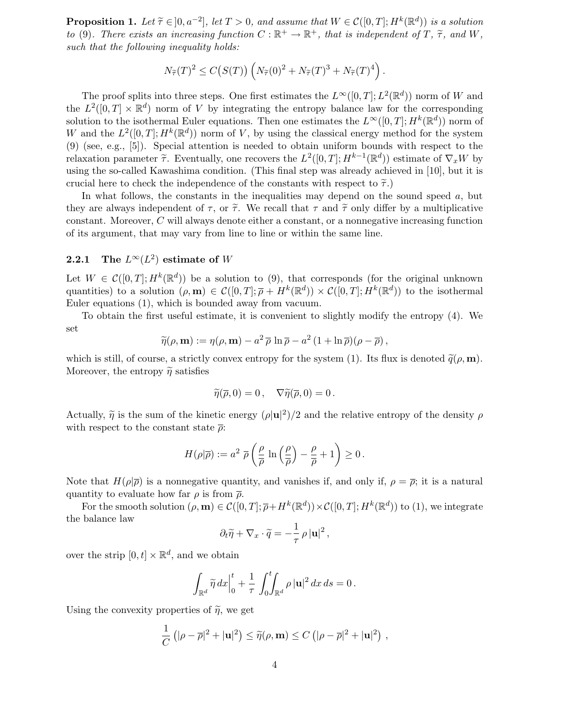**Proposition 1.** Let  $\widetilde{\tau} \in ]0, a^{-2}]$ , let  $T > 0$ , and assume that  $W \in \mathcal{C}([0, T]; H^k(\mathbb{R}^d))$  is a solution to (9). There exists an increasing function  $C : \mathbb{R}^+ \to \mathbb{R}^+$ , that is independent of  $T$ ,  $\tilde{\tau}$ , and  $W$ , such that the following inequality holds:

$$
N_{\widetilde{\tau}}(T)^2 \le C\big(S(T)\big) \left(N_{\widetilde{\tau}}(0)^2 + N_{\widetilde{\tau}}(T)^3 + N_{\widetilde{\tau}}(T)^4\right).
$$

The proof splits into three steps. One first estimates the  $L^{\infty}([0,T]; L^{2}(\mathbb{R}^{d}))$  norm of W and the  $L^2([0,T] \times \mathbb{R}^d)$  norm of V by integrating the entropy balance law for the corresponding solution to the isothermal Euler equations. Then one estimates the  $L^{\infty}([0,T]; H^k(\mathbb{R}^d))$  norm of W and the  $L^2([0,T];H^k(\mathbb{R}^d))$  norm of V, by using the classical energy method for the system (9) (see, e.g., [5]). Special attention is needed to obtain uniform bounds with respect to the relaxation parameter  $\tilde{\tau}$ . Eventually, one recovers the  $L^2([0,T]; H^{k-1}(\mathbb{R}^d))$  estimate of  $\nabla_x W$  by using the so-called Kawashima condition. (This final step was already achieved in [10], but it is crucial here to check the independence of the constants with respect to  $\tilde{\tau}$ .)

In what follows, the constants in the inequalities may depend on the sound speed  $a$ , but they are always independent of  $\tau$ , or  $\tilde{\tau}$ . We recall that  $\tau$  and  $\tilde{\tau}$  only differ by a multiplicative constant. Moreover, C will always denote either a constant, or a nonnegative increasing function of its argument, that may vary from line to line or within the same line.

## **2.2.1** The  $L^{\infty}(L^2)$  estimate of W

Let  $W \in \mathcal{C}([0,T]; H^k(\mathbb{R}^d))$  be a solution to (9), that corresponds (for the original unknown quantities) to a solution  $(\rho, \mathbf{m}) \in C([0, T]; \overline{\rho} + H^k(\mathbb{R}^d)) \times C([0, T]; H^k(\mathbb{R}^d))$  to the isothermal Euler equations (1), which is bounded away from vacuum.

To obtain the first useful estimate, it is convenient to slightly modify the entropy (4). We set

$$
\widetilde{\eta}(\rho, \mathbf{m}) := \eta(\rho, \mathbf{m}) - a^2 \overline{\rho} \ln \overline{\rho} - a^2 (1 + \ln \overline{\rho})(\rho - \overline{\rho}),
$$

which is still, of course, a strictly convex entropy for the system (1). Its flux is denoted  $\tilde{q}(\rho, \mathbf{m})$ . Moreover, the entropy  $\widetilde{\eta}$  satisfies

$$
\widetilde{\eta}(\overline{\rho},0)=0\,,\quad \nabla \widetilde{\eta}(\overline{\rho},0)=0\,.
$$

Actually,  $\tilde{\eta}$  is the sum of the kinetic energy  $(\rho |u|^2)/2$  and the relative entropy of the density  $\rho$ with respect to the constant state  $\bar{\rho}$ :

$$
H(\rho|\overline{\rho}) := a^2 \ \overline{\rho} \left( \frac{\rho}{\overline{\rho}} \, \ln \left( \frac{\rho}{\overline{\rho}} \right) - \frac{\rho}{\overline{\rho}} + 1 \right) \geq 0 \, .
$$

Note that  $H(\rho|\overline{\rho})$  is a nonnegative quantity, and vanishes if, and only if,  $\rho = \overline{\rho}$ ; it is a natural quantity to evaluate how far  $\rho$  is from  $\bar{\rho}$ .

For the smooth solution  $(\rho, \mathbf{m}) \in \mathcal{C}([0, T]; \overline{\rho} + H^k(\mathbb{R}^d)) \times \mathcal{C}([0, T]; H^k(\mathbb{R}^d))$  to (1), we integrate the balance law

$$
\partial_t \widetilde{\eta} + \nabla_x \cdot \widetilde{q} = -\frac{1}{\tau} \rho |\mathbf{u}|^2,
$$

over the strip  $[0, t] \times \mathbb{R}^d$ , and we obtain

$$
\int_{\mathbb{R}^d} \widetilde{\eta} \, dx \Big|_0^t + \frac{1}{\tau} \int_0^t \int_{\mathbb{R}^d} \rho \, |\mathbf{u}|^2 \, dx \, ds = 0 \, .
$$

Using the convexity properties of  $\tilde{\eta}$ , we get

$$
\frac{1}{C} \left( |\rho - \overline{\rho}|^2 + |\mathbf{u}|^2 \right) \le \widetilde{\eta}(\rho, \mathbf{m}) \le C \left( |\rho - \overline{\rho}|^2 + |\mathbf{u}|^2 \right),
$$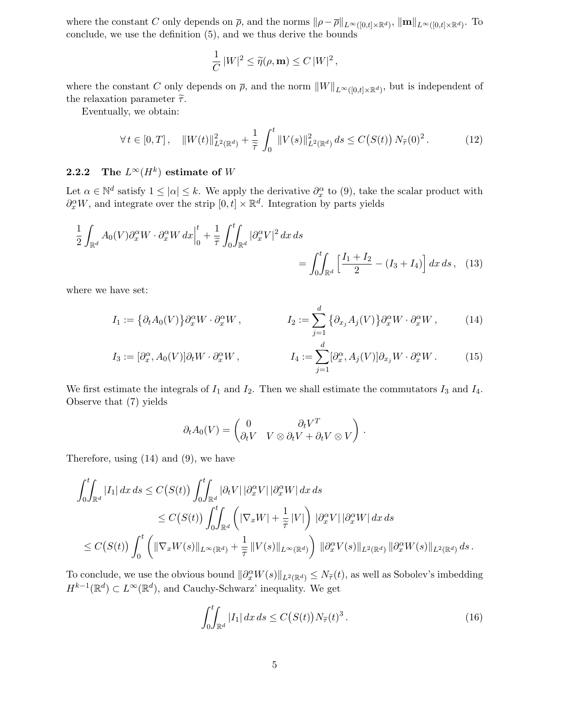where the constant C only depends on  $\overline{\rho}$ , and the norms  $\|\rho-\overline{\rho}\|_{L^{\infty}([0,t]\times\mathbb{R}^d)}$ ,  $\|\mathbf{m}\|_{L^{\infty}([0,t]\times\mathbb{R}^d)}$ . To conclude, we use the definition (5), and we thus derive the bounds

$$
\frac{1}{C} |W|^2 \le \widetilde{\eta}(\rho, \mathbf{m}) \le C |W|^2,
$$

where the constant C only depends on  $\overline{\rho}$ , and the norm  $||W||_{L^{\infty}([0,t]\times\mathbb{R}^d)}$ , but is independent of the relaxation parameter  $\tilde{\tau}$ .

Eventually, we obtain:

$$
\forall t \in [0, T], \quad \|W(t)\|_{L^2(\mathbb{R}^d)}^2 + \frac{1}{\tilde{\tau}} \int_0^t \|V(s)\|_{L^2(\mathbb{R}^d)}^2 ds \le C(S(t)) N_{\tilde{\tau}}(0)^2. \tag{12}
$$

## 2.2.2 The  $L^\infty(H^k)$  estimate of  $W$

Let  $\alpha \in \mathbb{N}^d$  satisfy  $1 \leq |\alpha| \leq k$ . We apply the derivative  $\partial_x^{\alpha}$  to (9), take the scalar product with  $\partial_x^{\alpha}W$ , and integrate over the strip  $[0, t] \times \mathbb{R}^d$ . Integration by parts yields

$$
\frac{1}{2} \int_{\mathbb{R}^d} A_0(V) \partial_x^{\alpha} W \cdot \partial_x^{\alpha} W dx \Big|_0^t + \frac{1}{\tilde{\tau}} \int_0^t \int_{\mathbb{R}^d} |\partial_x^{\alpha} V|^2 dx ds
$$
\n
$$
= \int_0^t \int_{\mathbb{R}^d} \left[ \frac{I_1 + I_2}{2} - (I_3 + I_4) \right] dx ds, \quad (13)
$$

where we have set:

$$
I_1 := \left\{ \partial_t A_0(V) \right\} \partial_x^{\alpha} W \cdot \partial_x^{\alpha} W, \qquad I_2 := \sum_{j=1}^d \left\{ \partial_{x_j} A_j(V) \right\} \partial_x^{\alpha} W \cdot \partial_x^{\alpha} W, \qquad (14)
$$

$$
I_3 := [\partial_x^{\alpha}, A_0(V)] \partial_t W \cdot \partial_x^{\alpha} W, \qquad I_4 := \sum_{j=1}^d [\partial_x^{\alpha}, A_j(V)] \partial_{x_j} W \cdot \partial_x^{\alpha} W. \qquad (15)
$$

We first estimate the integrals of  $I_1$  and  $I_2$ . Then we shall estimate the commutators  $I_3$  and  $I_4$ . Observe that (7) yields

$$
\partial_t A_0(V) = \begin{pmatrix} 0 & \partial_t V^T \\ \partial_t V & V \otimes \partial_t V + \partial_t V \otimes V \end{pmatrix}.
$$

Therefore, using (14) and (9), we have

$$
\int_0^t \int_{\mathbb{R}^d} |I_1| dx ds \le C(S(t)) \int_0^t \int_{\mathbb{R}^d} |\partial_t V| |\partial_x^{\alpha} V| |\partial_x^{\alpha} W| dx ds
$$
  
\n
$$
\le C(S(t)) \int_0^t \int_{\mathbb{R}^d} \left( |\nabla_x W| + \frac{1}{\tilde{\tau}} |V| \right) |\partial_x^{\alpha} V| |\partial_x^{\alpha} W| dx ds
$$
  
\n
$$
\le C(S(t)) \int_0^t \left( \|\nabla_x W(s)\|_{L^{\infty}(\mathbb{R}^d)} + \frac{1}{\tilde{\tau}} \|V(s)\|_{L^{\infty}(\mathbb{R}^d)} \right) \|\partial_x^{\alpha} V(s)\|_{L^2(\mathbb{R}^d)} \|\partial_x^{\alpha} W(s)\|_{L^2(\mathbb{R}^d)} ds.
$$

To conclude, we use the obvious bound  $\|\partial_x^{\alpha}W(s)\|_{L^2(\mathbb{R}^d)} \le N_{\tilde{\tau}}(t)$ , as well as Sobolev's imbedding  $H^{k-1}(\mathbb{R}^d) \subset L^{\infty}(\mathbb{R}^d)$ , and Cauchy-Schwarz' inequality. We get

$$
\int_0^t \int_{\mathbb{R}^d} |I_1| \, dx \, ds \le C \big( S(t) \big) N_{\widetilde{\tau}}(t)^3 \,. \tag{16}
$$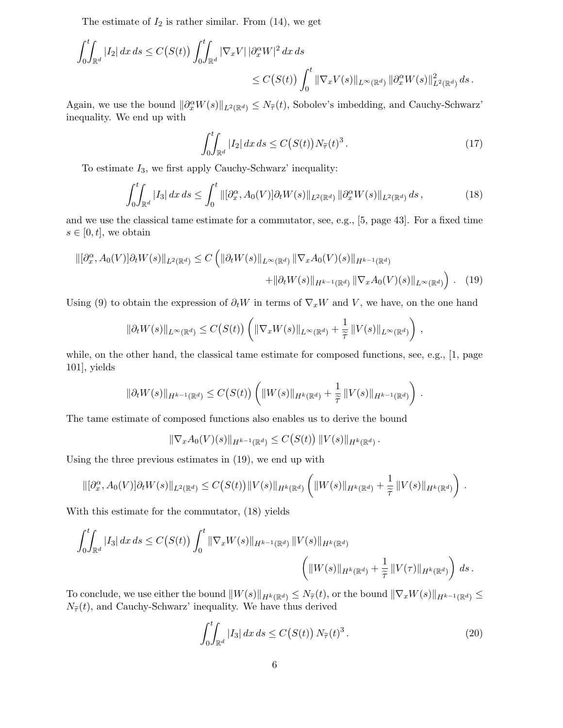The estimate of  $I_2$  is rather similar. From  $(14)$ , we get

$$
\int_0^t \int_{\mathbb{R}^d} |I_2| dx ds \le C(S(t)) \int_0^t \int_{\mathbb{R}^d} |\nabla_x V| |\partial_x^{\alpha} W|^2 dx ds
$$
  

$$
\le C(S(t)) \int_0^t \|\nabla_x V(s)\|_{L^{\infty}(\mathbb{R}^d)} \|\partial_x^{\alpha} W(s)\|_{L^2(\mathbb{R}^d)}^2 ds.
$$

Again, we use the bound  $\|\partial_x^{\alpha}W(s)\|_{L^2(\mathbb{R}^d)} \leq N_{\tilde{\tau}}(t)$ , Sobolev's imbedding, and Cauchy-Schwarz' inequality. We end up with

$$
\int_0^t \int_{\mathbb{R}^d} |I_2| \, dx \, ds \le C \big( S(t) \big) N_{\widetilde{\tau}}(t)^3 \,. \tag{17}
$$

To estimate  $I_3$ , we first apply Cauchy-Schwarz' inequality:

$$
\int_0^t \int_{\mathbb{R}^d} |I_3| \, dx \, ds \le \int_0^t \left\| [\partial_x^{\alpha}, A_0(V)] \partial_t W(s) \right\|_{L^2(\mathbb{R}^d)} \|\partial_x^{\alpha} W(s)\|_{L^2(\mathbb{R}^d)} \, ds \,, \tag{18}
$$

and we use the classical tame estimate for a commutator, see, e.g., [5, page 43]. For a fixed time  $s \in [0, t]$ , we obtain

$$
\|[\partial_x^{\alpha}, A_0(V)]\partial_t W(s)\|_{L^2(\mathbb{R}^d)} \le C \left( \|\partial_t W(s)\|_{L^{\infty}(\mathbb{R}^d)} \|\nabla_x A_0(V)(s)\|_{H^{k-1}(\mathbb{R}^d)} + \|\partial_t W(s)\|_{H^{k-1}(\mathbb{R}^d)} \|\nabla_x A_0(V)(s)\|_{L^{\infty}(\mathbb{R}^d)} \right). \tag{19}
$$

Using (9) to obtain the expression of  $\partial_t W$  in terms of  $\nabla_x W$  and V, we have, on the one hand

$$
\|\partial_t W(s)\|_{L^\infty(\mathbb{R}^d)} \leq C(S(t)) \left( \|\nabla_x W(s)\|_{L^\infty(\mathbb{R}^d)} + \frac{1}{\widetilde{\tau}} \|V(s)\|_{L^\infty(\mathbb{R}^d)} \right),
$$

while, on the other hand, the classical tame estimate for composed functions, see, e.g., [1, page 101], yields

$$
\|\partial_t W(s)\|_{H^{k-1}(\mathbb{R}^d)} \leq C\big(S(t)\big) \left( \|W(s)\|_{H^k(\mathbb{R}^d)} + \frac{1}{\widetilde{\tau}}\|V(s)\|_{H^{k-1}(\mathbb{R}^d)}\right) \,.
$$

The tame estimate of composed functions also enables us to derive the bound

$$
\|\nabla_x A_0(V)(s)\|_{H^{k-1}(\mathbb{R}^d)} \leq C\big(S(t)\big) \, \|V(s)\|_{H^k(\mathbb{R}^d)} \, .
$$

Using the three previous estimates in (19), we end up with

$$
\|[\partial_x^{\alpha}, A_0(V)]\partial_t W(s)\|_{L^2(\mathbb{R}^d)} \leq C(S(t))\|V(s)\|_{H^k(\mathbb{R}^d)} \left(\|W(s)\|_{H^k(\mathbb{R}^d)} + \frac{1}{\widetilde{\tau}}\|V(s)\|_{H^k(\mathbb{R}^d)}\right).
$$

With this estimate for the commutator, (18) yields

$$
\int_0^t \int_{\mathbb{R}^d} |I_3| dx ds \le C(S(t)) \int_0^t \|\nabla_x W(s)\|_{H^{k-1}(\mathbb{R}^d)} \|V(s)\|_{H^k(\mathbb{R}^d)} \sqrt{\left(\|W(s)\|_{H^k(\mathbb{R}^d)} + \frac{1}{\tilde{\tau}} \|V(\tau)\|_{H^k(\mathbb{R}^d)}\right) ds}.
$$

To conclude, we use either the bound  $||W(s)||_{H^k(\mathbb{R}^d)} \leq N_{\widetilde{\tau}}(t)$ , or the bound  $||\nabla_x W(s)||_{H^{k-1}(\mathbb{R}^d)} \leq$  $N_{\widetilde{\tau}}(t)$ , and Cauchy-Schwarz' inequality. We have thus derived

$$
\int_0^t \int_{\mathbb{R}^d} |I_3| \, dx \, ds \le C \big( S(t) \big) \, N_{\widetilde{\tau}}(t)^3 \,. \tag{20}
$$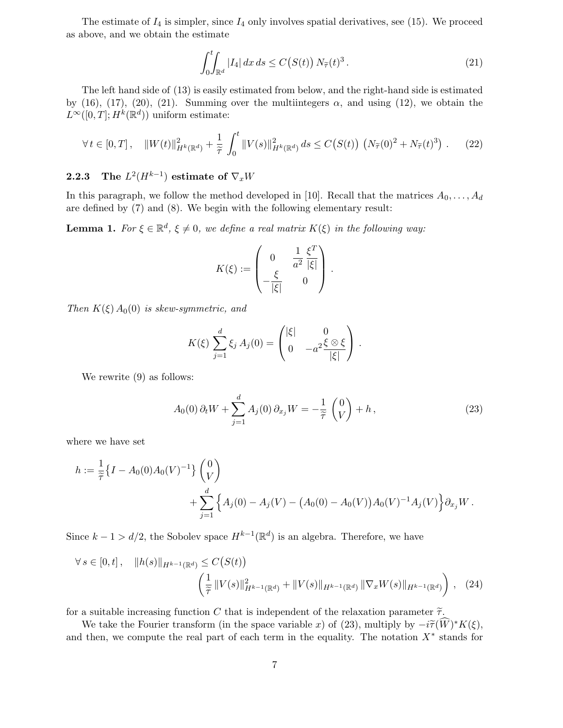The estimate of  $I_4$  is simpler, since  $I_4$  only involves spatial derivatives, see (15). We proceed as above, and we obtain the estimate

$$
\int_0^t \int_{\mathbb{R}^d} |I_4| \, dx \, ds \le C\big(S(t)\big) \, N_{\widetilde{\tau}}(t)^3 \,. \tag{21}
$$

The left hand side of (13) is easily estimated from below, and the right-hand side is estimated by (16), (17), (20), (21). Summing over the multiintegers  $\alpha$ , and using (12), we obtain the  $L^{\infty}([0,T]; H^k(\mathbb{R}^d))$  uniform estimate:

$$
\forall t \in [0, T], \quad \|W(t)\|_{H^k(\mathbb{R}^d)}^2 + \frac{1}{\tilde{\tau}} \int_0^t \|V(s)\|_{H^k(\mathbb{R}^d)}^2 ds \le C(S(t)) \left(N_{\tilde{\tau}}(0)^2 + N_{\tilde{\tau}}(t)^3\right). \tag{22}
$$

## **2.2.3** The  $L^2(H^{k-1})$  estimate of  $\nabla_x W$

In this paragraph, we follow the method developed in [10]. Recall that the matrices  $A_0, \ldots, A_d$ are defined by (7) and (8). We begin with the following elementary result:

**Lemma 1.** For  $\xi \in \mathbb{R}^d$ ,  $\xi \neq 0$ , we define a real matrix  $K(\xi)$  in the following way:

$$
K(\xi) := \begin{pmatrix} 0 & \frac{1}{a^2} \frac{\xi^T}{|\xi|} \\ -\frac{\xi}{|\xi|} & 0 \end{pmatrix}.
$$

Then  $K(\xi) A_0(0)$  is skew-symmetric, and

$$
K(\xi) \sum_{j=1}^{d} \xi_j A_j(0) = \begin{pmatrix} |\xi| & 0 \\ 0 & -a^2 \frac{\xi \otimes \xi}{|\xi|} \end{pmatrix}.
$$

We rewrite (9) as follows:

$$
A_0(0)\,\partial_t W + \sum_{j=1}^d A_j(0)\,\partial_{x_j} W = -\frac{1}{\tilde{\tau}}\,\begin{pmatrix} 0\\V \end{pmatrix} + h\,,\tag{23}
$$

where we have set

$$
h := \frac{1}{\tilde{\tau}} \{ I - A_0(0) A_0(V)^{-1} \} {0 \choose V} + \sum_{j=1}^d \{ A_j(0) - A_j(V) - (A_0(0) - A_0(V)) A_0(V)^{-1} A_j(V) \} \partial_{x_j} W.
$$

Since  $k - 1 > d/2$ , the Sobolev space  $H^{k-1}(\mathbb{R}^d)$  is an algebra. Therefore, we have

$$
\forall s \in [0, t], \quad \|h(s)\|_{H^{k-1}(\mathbb{R}^d)} \le C(S(t))
$$

$$
\left(\frac{1}{\tilde{\tau}} \|V(s)\|_{H^{k-1}(\mathbb{R}^d)}^2 + \|V(s)\|_{H^{k-1}(\mathbb{R}^d)} \|\nabla_x W(s)\|_{H^{k-1}(\mathbb{R}^d)}\right), \quad (24)
$$

for a suitable increasing function C that is independent of the relaxation parameter  $\tilde{\tau}$ .

We take the Fourier transform (in the space variable x) of (23), multiply by  $-i\tilde{\tau}(\tilde{W})^*K(\xi)$ , and then, we compute the real part of each term in the equality. The notation  $X^*$  stands for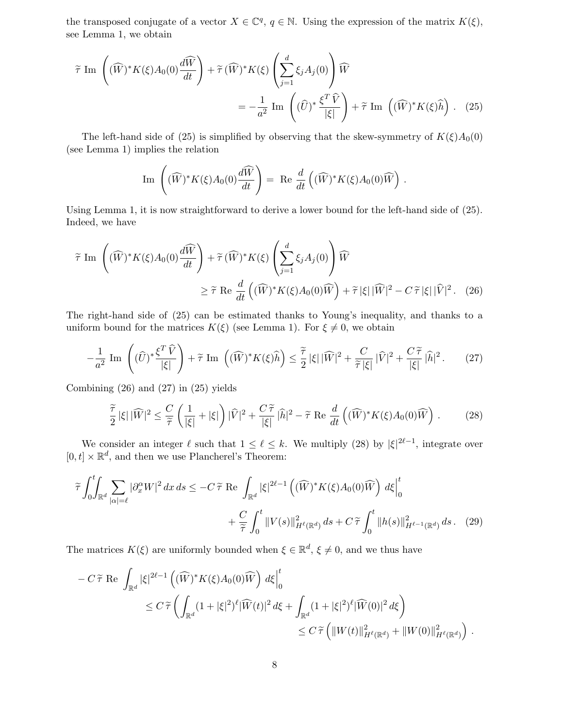the transposed conjugate of a vector  $X \in \mathbb{C}^q$ ,  $q \in \mathbb{N}$ . Using the expression of the matrix  $K(\xi)$ , see Lemma 1, we obtain

$$
\widetilde{\tau} \operatorname{Im} \left( (\widehat{W})^* K(\xi) A_0(0) \frac{d \widehat{W}}{dt} \right) + \widetilde{\tau} (\widehat{W})^* K(\xi) \left( \sum_{j=1}^d \xi_j A_j(0) \right) \widehat{W}
$$
  

$$
= -\frac{1}{a^2} \operatorname{Im} \left( (\widehat{U})^* \frac{\xi^T \widehat{V}}{|\xi|} \right) + \widetilde{\tau} \operatorname{Im} \left( (\widehat{W})^* K(\xi) \widehat{h} \right). \tag{25}
$$

The left-hand side of (25) is simplified by observing that the skew-symmetry of  $K(\xi)A_0(0)$ (see Lemma 1) implies the relation

Im 
$$
(\widehat{W})^* K(\xi) A_0(0) \frac{d\widehat{W}}{dt}
$$
 = Re  $\frac{d}{dt} (\widehat{W})^* K(\xi) A_0(0) \widehat{W}$ .

Using Lemma 1, it is now straightforward to derive a lower bound for the left-hand side of (25). Indeed, we have

$$
\widetilde{\tau} \operatorname{Im} \left( (\widehat{W})^* K(\xi) A_0(0) \frac{d\widehat{W}}{dt} \right) + \widetilde{\tau} (\widehat{W})^* K(\xi) \left( \sum_{j=1}^d \xi_j A_j(0) \right) \widehat{W}
$$
  
\n
$$
\geq \widetilde{\tau} \operatorname{Re} \frac{d}{dt} \left( (\widehat{W})^* K(\xi) A_0(0) \widehat{W} \right) + \widetilde{\tau} |\xi| |\widehat{W}|^2 - C \widetilde{\tau} |\xi| |\widehat{V}|^2. \tag{26}
$$

The right-hand side of (25) can be estimated thanks to Young's inequality, and thanks to a uniform bound for the matrices  $K(\xi)$  (see Lemma 1). For  $\xi \neq 0$ , we obtain

$$
-\frac{1}{a^2}\operatorname{Im}\left((\widehat{U})^*\frac{\xi^T\widehat{V}}{|\xi|}\right)+\widetilde{\tau}\operatorname{Im}\left((\widehat{W})^*K(\xi)\widehat{h}\right)\leq \frac{\widetilde{\tau}}{2}|\xi||\widehat{W}|^2+\frac{C}{\widetilde{\tau}|\xi|}|\widehat{V}|^2+\frac{C\widetilde{\tau}}{|\xi|}|\widehat{h}|^2.\tag{27}
$$

Combining (26) and (27) in (25) yields

$$
\frac{\widetilde{\tau}}{2}|\xi| \, |\widehat{W}|^2 \leq \frac{C}{\widetilde{\tau}} \left(\frac{1}{|\xi|} + |\xi|\right) |\widehat{V}|^2 + \frac{C\,\widetilde{\tau}}{|\xi|} \, |\widehat{h}|^2 - \widetilde{\tau} \, \operatorname{Re} \, \frac{d}{dt} \left( (\widehat{W})^* K(\xi) A_0(0) \widehat{W} \right) \,. \tag{28}
$$

We consider an integer  $\ell$  such that  $1 \leq \ell \leq k$ . We multiply (28) by  $|\xi|^{2\ell-1}$ , integrate over  $[0, t] \times \mathbb{R}^d$ , and then we use Plancherel's Theorem:

$$
\widetilde{\tau} \int_0^t \int_{\mathbb{R}^d} \sum_{|\alpha|=\ell} |\partial_x^{\alpha} W|^2 dx ds \le -C \widetilde{\tau} \operatorname{Re} \int_{\mathbb{R}^d} |\xi|^{2\ell-1} \left( (\widehat{W})^* K(\xi) A_0(0) \widehat{W} \right) d\xi \Big|_0^t
$$
  
+ 
$$
\frac{C}{\widetilde{\tau}} \int_0^t \|V(s)\|_{H^\ell(\mathbb{R}^d)}^2 ds + C \widetilde{\tau} \int_0^t \|h(s)\|_{H^{\ell-1}(\mathbb{R}^d)}^2 ds. \tag{29}
$$

The matrices  $K(\xi)$  are uniformly bounded when  $\xi \in \mathbb{R}^d$ ,  $\xi \neq 0$ , and we thus have

$$
- C \widetilde{\tau} \operatorname{Re} \int_{\mathbb{R}^d} |\xi|^{2\ell - 1} \left( (\widehat{W})^* K(\xi) A_0(0) \widehat{W} \right) d\xi \Big|_0^t
$$
  

$$
\leq C \widetilde{\tau} \left( \int_{\mathbb{R}^d} (1 + |\xi|^2)^{\ell} |\widehat{W}(t)|^2 d\xi + \int_{\mathbb{R}^d} (1 + |\xi|^2)^{\ell} |\widehat{W}(0)|^2 d\xi \right)
$$
  

$$
\leq C \widetilde{\tau} \left( \|W(t)\|_{H^{\ell}(\mathbb{R}^d)}^2 + \|W(0)\|_{H^{\ell}(\mathbb{R}^d)}^2 \right).
$$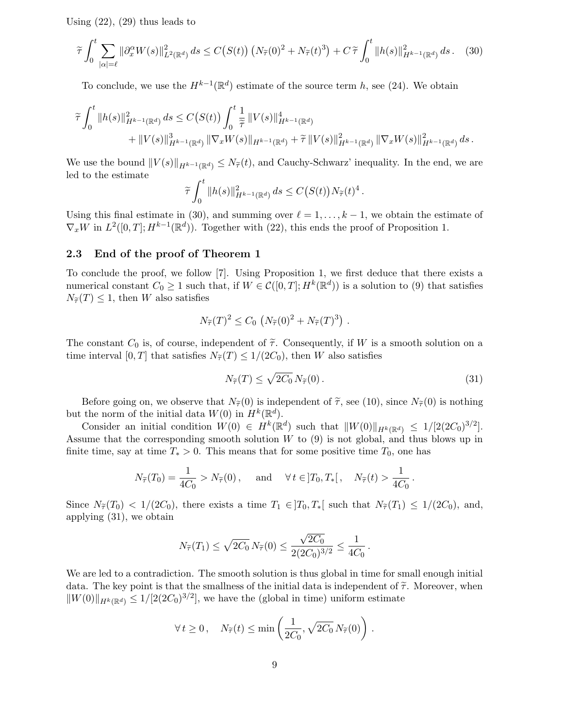Using  $(22)$ ,  $(29)$  thus leads to

$$
\widetilde{\tau} \int_0^t \sum_{|\alpha|=\ell} \|\partial_x^{\alpha} W(s)\|_{L^2(\mathbb{R}^d)}^2 ds \le C(S(t)) \left( N_{\widetilde{\tau}}(0)^2 + N_{\widetilde{\tau}}(t)^3 \right) + C \widetilde{\tau} \int_0^t \|h(s)\|_{H^{k-1}(\mathbb{R}^d)}^2 ds. \tag{30}
$$

To conclude, we use the  $H^{k-1}(\mathbb{R}^d)$  estimate of the source term h, see (24). We obtain

$$
\tilde{\tau} \int_0^t \|h(s)\|_{H^{k-1}(\mathbb{R}^d)}^2 ds \leq C(S(t)) \int_0^t \frac{1}{\tilde{\tau}} \|V(s)\|_{H^{k-1}(\mathbb{R}^d)}^4 \n+ \|V(s)\|_{H^{k-1}(\mathbb{R}^d)}^3 \|\nabla_x W(s)\|_{H^{k-1}(\mathbb{R}^d)} + \tilde{\tau} \|V(s)\|_{H^{k-1}(\mathbb{R}^d)}^2 \|\nabla_x W(s)\|_{H^{k-1}(\mathbb{R}^d)}^2 ds.
$$

We use the bound  $||V(s)||_{H^{k-1}(\mathbb{R}^d)} \leq N_{\tilde{\tau}}(t)$ , and Cauchy-Schwarz' inequality. In the end, we are led to the estimate

$$
\widetilde{\tau}\int_0^t \|h(s)\|_{H^{k-1}(\mathbb{R}^d)}^2 ds \leq C(S(t))N_{\widetilde{\tau}}(t)^4.
$$

Using this final estimate in (30), and summing over  $\ell = 1, \ldots, k - 1$ , we obtain the estimate of  $\nabla_x W$  in  $L^2([0,T]; H^{k-1}(\mathbb{R}^d))$ . Together with (22), this ends the proof of Proposition 1.

#### 2.3 End of the proof of Theorem 1

To conclude the proof, we follow [7]. Using Proposition 1, we first deduce that there exists a numerical constant  $C_0 \geq 1$  such that, if  $W \in \mathcal{C}([0,T]; H^k(\mathbb{R}^d))$  is a solution to (9) that satisfies  $N_{\widetilde{\tau}}(T) \leq 1$ , then W also satisfies

$$
N_{\widetilde{\tau}}(T)^2 \leq C_0 \left( N_{\widetilde{\tau}}(0)^2 + N_{\widetilde{\tau}}(T)^3 \right) .
$$

The constant  $C_0$  is, of course, independent of  $\tilde{\tau}$ . Consequently, if W is a smooth solution on a time interval [0, T] that satisfies  $N_{\widetilde{\tau}}(T) \leq 1/(2C_0)$ , then W also satisfies

$$
N_{\widetilde{\tau}}(T) \le \sqrt{2C_0} \, N_{\widetilde{\tau}}(0) \,. \tag{31}
$$

Before going on, we observe that  $N_{\tilde{\tau}}(0)$  is independent of  $\tilde{\tau}$ , see (10), since  $N_{\tilde{\tau}}(0)$  is nothing but the norm of the initial data  $W(0)$  in  $H^k(\mathbb{R}^d)$ .

Consider an initial condition  $W(0) \in H^k(\mathbb{R}^d)$  such that  $||W(0)||_{H^k(\mathbb{R}^d)} \leq 1/[2(2C_0)^{3/2}]$ . Assume that the corresponding smooth solution  $W$  to  $(9)$  is not global, and thus blows up in finite time, say at time  $T_* > 0$ . This means that for some positive time  $T_0$ , one has

$$
N_{\widetilde{\tau}}(T_0) = \frac{1}{4C_0} > N_{\widetilde{\tau}}(0), \text{ and } \forall t \in ]T_0, T_*[, \quad N_{\widetilde{\tau}}(t) > \frac{1}{4C_0}.
$$

Since  $N_{\widetilde{\tau}}(T_0) < 1/(2C_0)$ , there exists a time  $T_1 \in ]T_0, T_*[$  such that  $N_{\widetilde{\tau}}(T_1) \leq 1/(2C_0)$ , and, applying (31), we obtain

$$
N_{\widetilde{\tau}}(T_1) \leq \sqrt{2C_0} N_{\widetilde{\tau}}(0) \leq \frac{\sqrt{2C_0}}{2(2C_0)^{3/2}} \leq \frac{1}{4C_0}.
$$

We are led to a contradiction. The smooth solution is thus global in time for small enough initial data. The key point is that the smallness of the initial data is independent of  $\tilde{\tau}$ . Moreover, when  $\|W(0)\|_{H^k(\mathbb{R}^d)} \le 1/[2(2C_0)^{3/2}]$ , we have the (global in time) uniform estimate

$$
\forall t \geq 0, \quad N_{\widetilde{\tau}}(t) \leq \min\left(\frac{1}{2C_0}, \sqrt{2C_0} N_{\widetilde{\tau}}(0)\right).
$$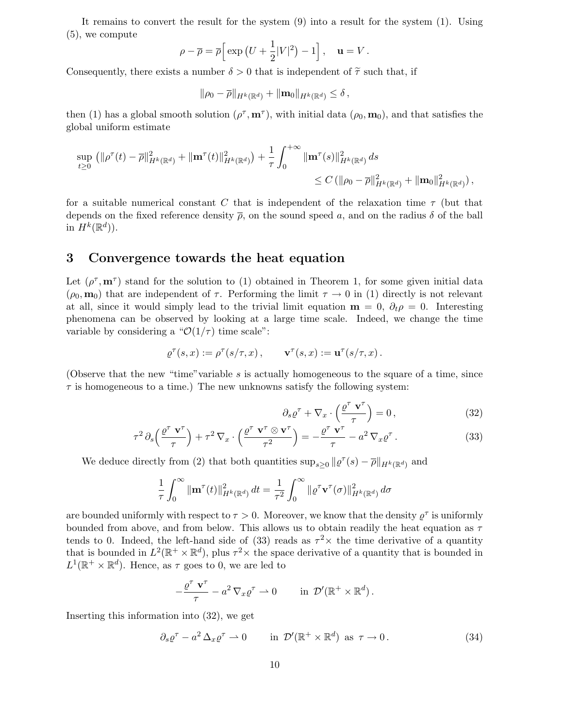It remains to convert the result for the system (9) into a result for the system (1). Using (5), we compute

$$
\rho - \overline{\rho} = \overline{\rho} \Big[ \exp \left( U + \frac{1}{2} |V|^2 \right) - 1 \Big], \quad \mathbf{u} = V.
$$

Consequently, there exists a number  $\delta > 0$  that is independent of  $\tilde{\tau}$  such that, if

$$
\|\rho_0-\overline{\rho}\|_{H^k(\mathbb{R}^d)}+\|\textup{\textbf{m}}_0\|_{H^k(\mathbb{R}^d)}\leq \delta\,,
$$

then (1) has a global smooth solution  $(\rho^{\tau}, \mathbf{m}^{\tau})$ , with initial data  $(\rho_0, \mathbf{m}_0)$ , and that satisfies the global uniform estimate

$$
\sup_{t\geq 0} (\|\rho^{\tau}(t)-\overline{\rho}\|_{H^k(\mathbb{R}^d)}^2 + \|\mathbf{m}^{\tau}(t)\|_{H^k(\mathbb{R}^d)}^2) + \frac{1}{\tau} \int_0^{+\infty} \|\mathbf{m}^{\tau}(s)\|_{H^k(\mathbb{R}^d)}^2 ds
$$
  
\n
$$
\leq C (\|\rho_0 - \overline{\rho}\|_{H^k(\mathbb{R}^d)}^2 + \|\mathbf{m}_0\|_{H^k(\mathbb{R}^d)}^2),
$$

for a suitable numerical constant C that is independent of the relaxation time  $\tau$  (but that depends on the fixed reference density  $\bar{\rho}$ , on the sound speed a, and on the radius  $\delta$  of the ball in  $H^k(\mathbb{R}^d)$ ).

## 3 Convergence towards the heat equation

Let  $(\rho^{\tau}, \mathbf{m}^{\tau})$  stand for the solution to (1) obtained in Theorem 1, for some given initial data  $(\rho_0, \mathbf{m}_0)$  that are independent of  $\tau$ . Performing the limit  $\tau \to 0$  in (1) directly is not relevant at all, since it would simply lead to the trivial limit equation  $\mathbf{m} = 0$ ,  $\partial_t \rho = 0$ . Interesting phenomena can be observed by looking at a large time scale. Indeed, we change the time variable by considering a " $\mathcal{O}(1/\tau)$  time scale":

$$
\varrho^\tau(s,x) := \rho^\tau(s/\tau,x)\,, \qquad \mathbf{v}^\tau(s,x) := \mathbf{u}^\tau(s/\tau,x)\,.
$$

(Observe that the new "time" variable  $s$  is actually homogeneous to the square of a time, since  $\tau$  is homogeneous to a time.) The new unknowns satisfy the following system:

$$
\partial_s \varrho^{\tau} + \nabla_x \cdot \left(\frac{\varrho^{\tau} \mathbf{v}^{\tau}}{\tau}\right) = 0, \qquad (32)
$$

$$
\tau^2 \partial_s \left( \frac{\varrho^{\tau} \mathbf{v}^{\tau}}{\tau} \right) + \tau^2 \nabla_x \cdot \left( \frac{\varrho^{\tau} \mathbf{v}^{\tau} \otimes \mathbf{v}^{\tau}}{\tau^2} \right) = -\frac{\varrho^{\tau} \mathbf{v}^{\tau}}{\tau} - a^2 \nabla_x \varrho^{\tau} . \tag{33}
$$

We deduce directly from (2) that both quantities  $\sup_{s\geq 0} ||\varrho^{\tau}(s) - \overline{\rho}||_{H^{k}(\mathbb{R}^{d})}$  and

$$
\frac{1}{\tau} \int_0^\infty \|\mathbf{m}^\tau(t)\|_{H^k(\mathbb{R}^d)}^2 dt = \frac{1}{\tau^2} \int_0^\infty \|\varrho^\tau \mathbf{v}^\tau(\sigma)\|_{H^k(\mathbb{R}^d)}^2 d\sigma
$$

are bounded uniformly with respect to  $\tau > 0$ . Moreover, we know that the density  $\varrho^{\tau}$  is uniformly bounded from above, and from below. This allows us to obtain readily the heat equation as  $\tau$ tends to 0. Indeed, the left-hand side of (33) reads as  $\tau^2 \times$  the time derivative of a quantity that is bounded in  $L^2(\mathbb{R}^+ \times \mathbb{R}^d)$ , plus  $\tau^2 \times$  the space derivative of a quantity that is bounded in  $L^1(\mathbb{R}^+ \times \mathbb{R}^d)$ . Hence, as  $\tau$  goes to 0, we are led to

$$
-\frac{\varrho^{\tau} \mathbf{v}^{\tau}}{\tau} - a^2 \nabla_x \varrho^{\tau} \rightharpoonup 0 \qquad \text{in } \mathcal{D}'(\mathbb{R}^+ \times \mathbb{R}^d).
$$

Inserting this information into (32), we get

$$
\partial_s \varrho^{\tau} - a^2 \Delta_x \varrho^{\tau} \rightharpoonup 0 \qquad \text{in } \mathcal{D}'(\mathbb{R}^+ \times \mathbb{R}^d) \text{ as } \tau \to 0. \tag{34}
$$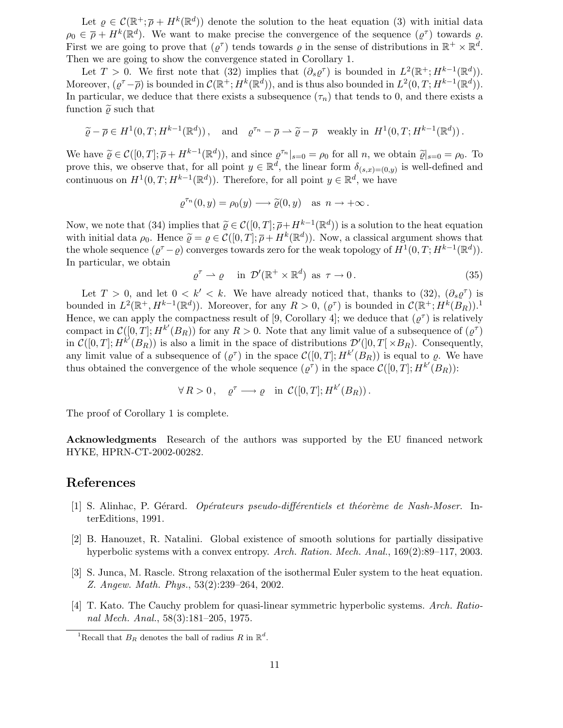Let  $\varrho \in \mathcal{C}(\mathbb{R}^+;\overline{\rho}+H^k(\mathbb{R}^d))$  denote the solution to the heat equation (3) with initial data  $\rho_0 \in \overline{\rho} + H^k(\mathbb{R}^d)$ . We want to make precise the convergence of the sequence  $(\varrho^{\tau})$  towards  $\varrho$ . First we are going to prove that  $(\varrho^{\tau})$  tends towards  $\varrho$  in the sense of distributions in  $\mathbb{R}^+ \times \mathbb{R}^d$ . Then we are going to show the convergence stated in Corollary 1.

Let  $T > 0$ . We first note that (32) implies that  $(\partial_s \varrho^{\tau})$  is bounded in  $L^2(\mathbb{R}^+; H^{k-1}(\mathbb{R}^d))$ . Moreover,  $(\varrho^{\tau}-\overline{\rho})$  is bounded in  $\mathcal{C}(\mathbb{R}^+; H^k(\mathbb{R}^d))$ , and is thus also bounded in  $L^2(0,T; H^{k-1}(\mathbb{R}^d))$ . In particular, we deduce that there exists a subsequence  $(\tau_n)$  that tends to 0, and there exists a function  $\tilde{\rho}$  such that

$$
\widetilde{\varrho}-\overline{\rho}\in H^1(0,T;H^{k-1}(\mathbb{R}^d)),
$$
 and  $\varrho^{\tau_n}-\overline{\rho}\to\widetilde{\varrho}-\overline{\rho}$  weakly in  $H^1(0,T;H^{k-1}(\mathbb{R}^d))$ .

We have  $\widetilde{\varrho} \in \mathcal{C}([0,T]; \overline{\rho} + H^{k-1}(\mathbb{R}^d))$ , and since  $\varrho^{\tau_n}|_{s=0} = \rho_0$  for all n, we obtain  $\widetilde{\varrho}|_{s=0} = \rho_0$ . To prove this, we observe that, for all point  $y \in \mathbb{R}^d$ , the linear form  $\delta_{(s,x)=(0,y)}$  is well-defined and continuous on  $H^1(0,T; H^{k-1}(\mathbb{R}^d))$ . Therefore, for all point  $y \in \mathbb{R}^d$ , we have

$$
\varrho^{\tau_n}(0, y) = \rho_0(y) \longrightarrow \widetilde{\varrho}(0, y) \quad \text{as } n \to +\infty \, .
$$

Now, we note that (34) implies that  $\tilde{\varrho} \in \mathcal{C}([0,T]; \overline{\rho} + H^{k-1}(\mathbb{R}^d))$  is a solution to the heat equation with initial data  $\rho_0$ . Hence  $\widetilde{\varrho} = \varrho \in \mathcal{C}([0,T]; \overline{\rho} + H^k(\mathbb{R}^d))$ . Now, a classical argument shows that the whole sequence  $(\varrho^{\tau} - \varrho)$  converges towards zero for the weak topology of  $H^1(0,T; H^{k-1}(\mathbb{R}^d))$ . In particular, we obtain

$$
\varrho^{\tau} \rightharpoonup \varrho \quad \text{in } \mathcal{D}'(\mathbb{R}^+ \times \mathbb{R}^d) \text{ as } \tau \to 0. \tag{35}
$$

Let  $T > 0$ , and let  $0 < k' < k$ . We have already noticed that, thanks to  $(32)$ ,  $(\partial_s \varrho^{\tau})$  is bounded in  $L^2(\mathbb{R}^+, H^{k-1}(\mathbb{R}^d))$ . Moreover, for any  $R > 0$ ,  $(\varrho^{\tau})$  is bounded in  $\mathcal{C}(\mathbb{R}^+; H^k(B_R))$ .<sup>1</sup> Hence, we can apply the compactness result of [9, Corollary 4]; we deduce that  $(\varrho^{\tau})$  is relatively compact in  $\mathcal{C}([0,T];H^{k'}(B_R))$  for any  $R>0$ . Note that any limit value of a subsequence of  $(\varrho^{\tau})$ in  $\mathcal{C}([0,T];H^{k'}(B_R))$  is also a limit in the space of distributions  $\mathcal{D}'([0,T[\times B_R))$ . Consequently, any limit value of a subsequence of  $(\varrho^{\tau})$  in the space  $\mathcal{C}([0,T];H^{k'}(\overset{\circ}{B_R}))$  is equal to  $\varrho$ . We have thus obtained the convergence of the whole sequence  $(\varrho^{\tau})$  in the space  $\mathcal{C}([0,T];H^{k'}(\overline{B}_R))$ :

$$
\forall R > 0 \,, \quad \varrho^{\tau} \longrightarrow \varrho \quad \text{in } C([0, T]; H^{k'}(B_R)) \,.
$$

The proof of Corollary 1 is complete.

Acknowledgments Research of the authors was supported by the EU financed network HYKE, HPRN-CT-2002-00282.

## References

- $[1]$  S. Alinhac, P. Gérard. *Opérateurs pseudo-différentiels et théorème de Nash-Moser*. InterEditions, 1991.
- [2] B. Hanouzet, R. Natalini. Global existence of smooth solutions for partially dissipative hyperbolic systems with a convex entropy. Arch. Ration. Mech. Anal., 169(2):89–117, 2003.
- [3] S. Junca, M. Rascle. Strong relaxation of the isothermal Euler system to the heat equation. Z. Angew. Math. Phys., 53(2):239–264, 2002.
- [4] T. Kato. The Cauchy problem for quasi-linear symmetric hyperbolic systems. Arch. Rational Mech. Anal., 58(3):181–205, 1975.

<sup>&</sup>lt;sup>1</sup>Recall that  $B_R$  denotes the ball of radius R in  $\mathbb{R}^d$ .